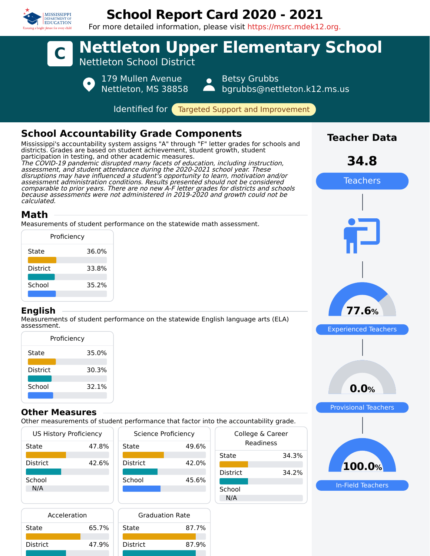

Acceleration State 65.7%

District 47.9%

# **School Report Card 2020 - 2021**

For more detailed information, please visit https://msrc.mdek12.org.



N/A

Graduation Rate State 87.7%

District 87.9%